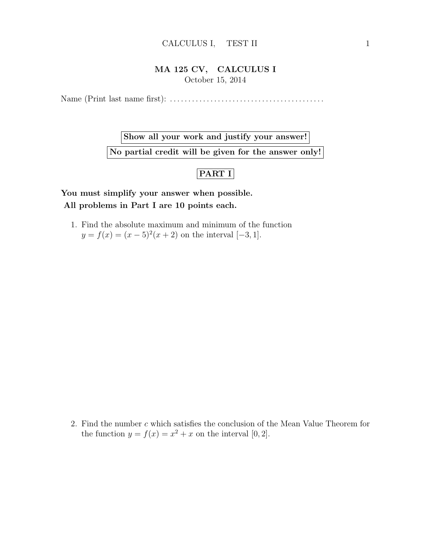## CALCULUS I, TEST II 1

## MA 125 CV, CALCULUS I October 15, 2014

Name (Print last name first): . . . . . . . . . . . . . . . . . . . . . . . . . . . . . . . . . . . . . . . . . .

Show all your work and justify your answer!

No partial credit will be given for the answer only!

## $|$ PART I $|$

You must simplify your answer when possible. All problems in Part I are 10 points each.

1. Find the absolute maximum and minimum of the function  $y = f(x) = (x - 5)^2(x + 2)$  on the interval [-3, 1].

2. Find the number c which satisfies the conclusion of the Mean Value Theorem for the function  $y = f(x) = x^2 + x$  on the interval [0, 2].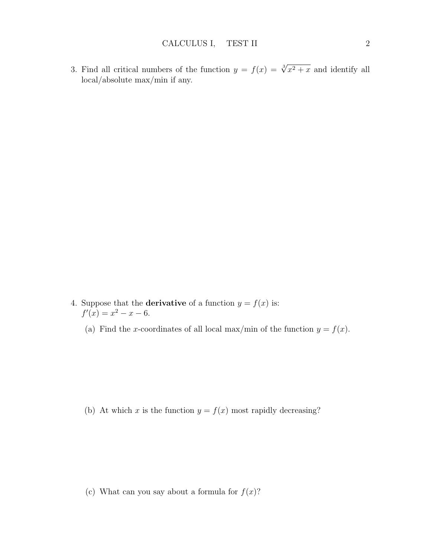3. Find all critical numbers of the function  $y = f(x) = \sqrt[3]{x^2 + x}$  and identify all local/absolute max/min if any.

- 4. Suppose that the **derivative** of a function  $y = f(x)$  is:  $f'(x) = x^2 - x - 6.$ 
	- (a) Find the x-coordinates of all local max/min of the function  $y = f(x)$ .

(b) At which x is the function  $y = f(x)$  most rapidly decreasing?

(c) What can you say about a formula for  $f(x)$ ?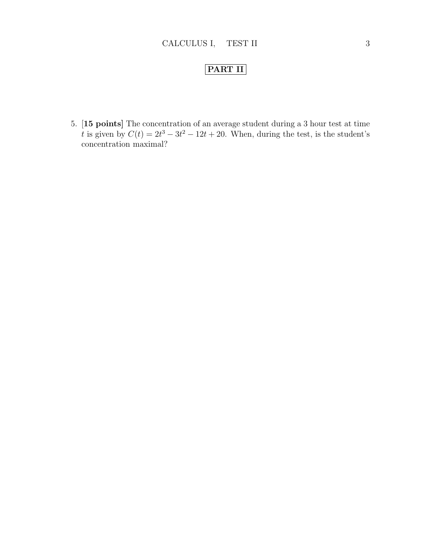## PART II

5. [15 points] The concentration of an average student during a 3 hour test at time t is given by  $C(t) = 2t^3 - 3t^2 - 12t + 20$ . When, during the test, is the student's concentration maximal?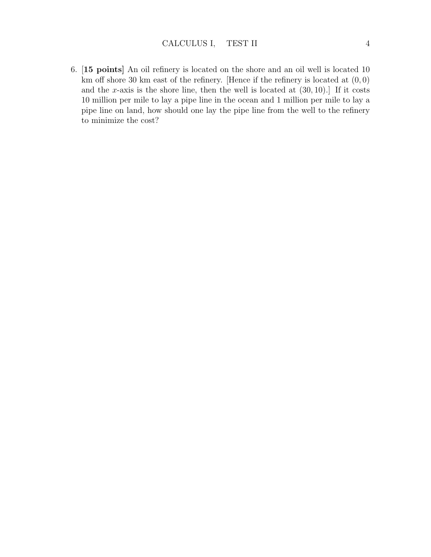6. [15 points] An oil refinery is located on the shore and an oil well is located 10 km off shore 30 km east of the refinery. [Hence if the refinery is located at  $(0,0)$ ] and the x-axis is the shore line, then the well is located at  $(30, 10)$ . If it costs 10 million per mile to lay a pipe line in the ocean and 1 million per mile to lay a pipe line on land, how should one lay the pipe line from the well to the refinery to minimize the cost?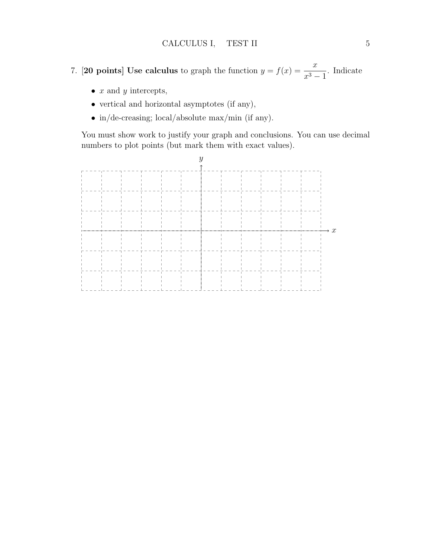- 7. [20 points] Use calculus to graph the function  $y = f(x) = \frac{x}{x}$  $\frac{x}{x^3-1}$ . Indicate
	- $x$  and  $y$  intercepts,
	- vertical and horizontal asymptotes (if any),
	- in/de-creasing; local/absolute max/min (if any).

You must show work to justify your graph and conclusions. You can use decimal numbers to plot points (but mark them with exact values).